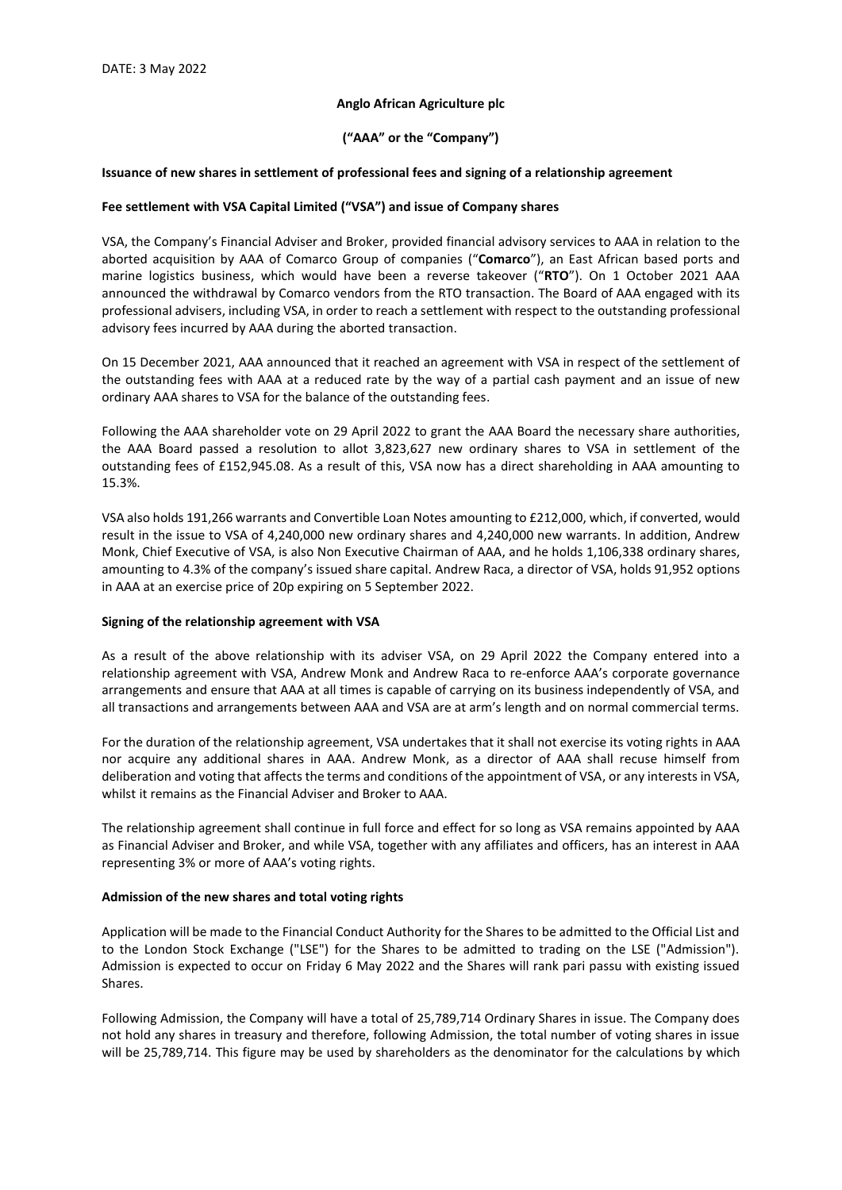### **Anglo African Agriculture plc**

## **("AAA" or the "Company")**

#### **Issuance of new shares in settlement of professional fees and signing of a relationship agreement**

#### **Fee settlement with VSA Capital Limited ("VSA") and issue of Company shares**

VSA, the Company's Financial Adviser and Broker, provided financial advisory services to AAA in relation to the aborted acquisition by AAA of Comarco Group of companies ("**Comarco**"), an East African based ports and marine logistics business, which would have been a reverse takeover ("**RTO**"). On 1 October 2021 AAA announced the withdrawal by Comarco vendors from the RTO transaction. The Board of AAA engaged with its professional advisers, including VSA, in order to reach a settlement with respect to the outstanding professional advisory fees incurred by AAA during the aborted transaction.

On 15 December 2021, AAA announced that it reached an agreement with VSA in respect of the settlement of the outstanding fees with AAA at a reduced rate by the way of a partial cash payment and an issue of new ordinary AAA shares to VSA for the balance of the outstanding fees.

Following the AAA shareholder vote on 29 April 2022 to grant the AAA Board the necessary share authorities, the AAA Board passed a resolution to allot 3,823,627 new ordinary shares to VSA in settlement of the outstanding fees of £152,945.08. As a result of this, VSA now has a direct shareholding in AAA amounting to 15.3%.

VSA also holds 191,266 warrants and Convertible Loan Notes amounting to £212,000, which, if converted, would result in the issue to VSA of 4,240,000 new ordinary shares and 4,240,000 new warrants. In addition, Andrew Monk, Chief Executive of VSA, is also Non Executive Chairman of AAA, and he holds 1,106,338 ordinary shares, amounting to 4.3% of the company's issued share capital. Andrew Raca, a director of VSA, holds 91,952 options in AAA at an exercise price of 20p expiring on 5 September 2022.

## **Signing of the relationship agreement with VSA**

As a result of the above relationship with its adviser VSA, on 29 April 2022 the Company entered into a relationship agreement with VSA, Andrew Monk and Andrew Raca to re-enforce AAA's corporate governance arrangements and ensure that AAA at all times is capable of carrying on its business independently of VSA, and all transactions and arrangements between AAA and VSA are at arm's length and on normal commercial terms.

For the duration of the relationship agreement, VSA undertakes that it shall not exercise its voting rights in AAA nor acquire any additional shares in AAA. Andrew Monk, as a director of AAA shall recuse himself from deliberation and voting that affects the terms and conditions of the appointment of VSA, or any interests in VSA, whilst it remains as the Financial Adviser and Broker to AAA.

The relationship agreement shall continue in full force and effect for so long as VSA remains appointed by AAA as Financial Adviser and Broker, and while VSA, together with any affiliates and officers, has an interest in AAA representing 3% or more of AAA's voting rights.

#### **Admission of the new shares and total voting rights**

Application will be made to the Financial Conduct Authority for the Shares to be admitted to the Official List and to the London Stock Exchange ("LSE") for the Shares to be admitted to trading on the LSE ("Admission"). Admission is expected to occur on Friday 6 May 2022 and the Shares will rank pari passu with existing issued Shares.

Following Admission, the Company will have a total of 25,789,714 Ordinary Shares in issue. The Company does not hold any shares in treasury and therefore, following Admission, the total number of voting shares in issue will be 25,789,714. This figure may be used by shareholders as the denominator for the calculations by which